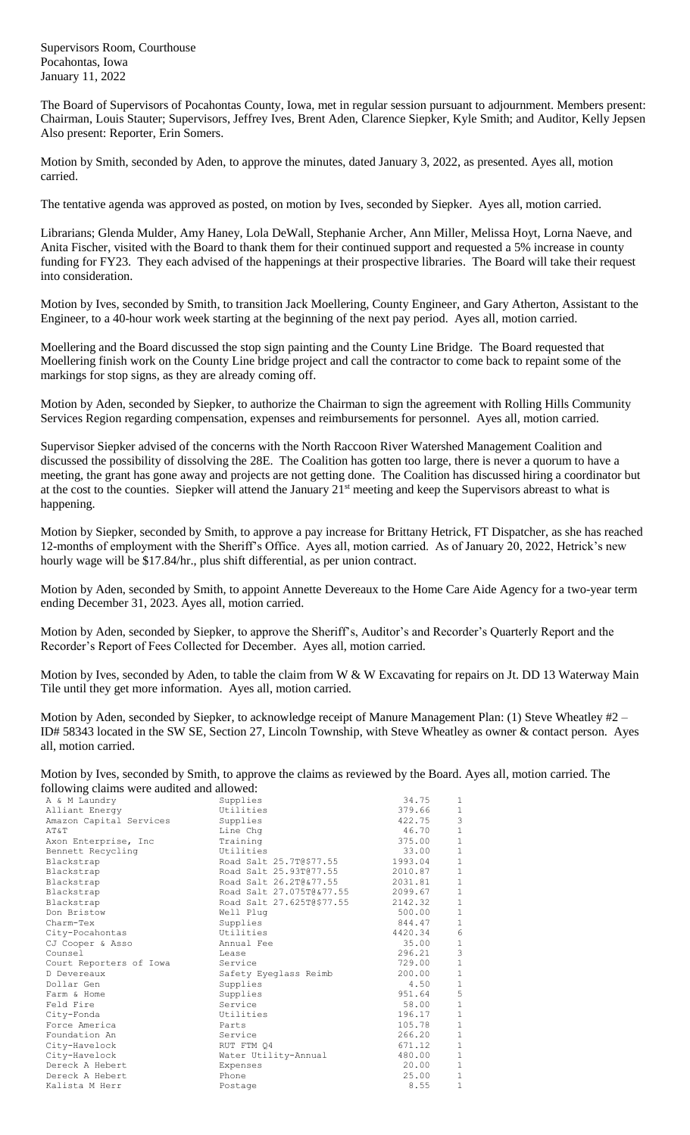Supervisors Room, Courthouse Pocahontas, Iowa January 11, 2022

The Board of Supervisors of Pocahontas County, Iowa, met in regular session pursuant to adjournment. Members present: Chairman, Louis Stauter; Supervisors, Jeffrey Ives, Brent Aden, Clarence Siepker, Kyle Smith; and Auditor, Kelly Jepsen Also present: Reporter, Erin Somers.

Motion by Smith, seconded by Aden, to approve the minutes, dated January 3, 2022, as presented. Ayes all, motion carried.

The tentative agenda was approved as posted, on motion by Ives, seconded by Siepker. Ayes all, motion carried.

Librarians; Glenda Mulder, Amy Haney, Lola DeWall, Stephanie Archer, Ann Miller, Melissa Hoyt, Lorna Naeve, and Anita Fischer, visited with the Board to thank them for their continued support and requested a 5% increase in county funding for FY23. They each advised of the happenings at their prospective libraries. The Board will take their request into consideration.

Motion by Ives, seconded by Smith, to transition Jack Moellering, County Engineer, and Gary Atherton, Assistant to the Engineer, to a 40-hour work week starting at the beginning of the next pay period. Ayes all, motion carried.

Moellering and the Board discussed the stop sign painting and the County Line Bridge. The Board requested that Moellering finish work on the County Line bridge project and call the contractor to come back to repaint some of the markings for stop signs, as they are already coming off.

Motion by Aden, seconded by Siepker, to authorize the Chairman to sign the agreement with Rolling Hills Community Services Region regarding compensation, expenses and reimbursements for personnel. Ayes all, motion carried.

Supervisor Siepker advised of the concerns with the North Raccoon River Watershed Management Coalition and discussed the possibility of dissolving the 28E. The Coalition has gotten too large, there is never a quorum to have a meeting, the grant has gone away and projects are not getting done. The Coalition has discussed hiring a coordinator but at the cost to the counties. Siepker will attend the January 21<sup>st</sup> meeting and keep the Supervisors abreast to what is happening.

Motion by Siepker, seconded by Smith, to approve a pay increase for Brittany Hetrick, FT Dispatcher, as she has reached 12-months of employment with the Sheriff's Office. Ayes all, motion carried. As of January 20, 2022, Hetrick's new hourly wage will be \$17.84/hr., plus shift differential, as per union contract.

Motion by Aden, seconded by Smith, to appoint Annette Devereaux to the Home Care Aide Agency for a two-year term ending December 31, 2023. Ayes all, motion carried.

Motion by Aden, seconded by Siepker, to approve the Sheriff's, Auditor's and Recorder's Quarterly Report and the Recorder's Report of Fees Collected for December. Ayes all, motion carried.

Motion by Ives, seconded by Aden, to table the claim from W & W Excavating for repairs on Jt. DD 13 Waterway Main Tile until they get more information. Ayes all, motion carried.

Motion by Aden, seconded by Siepker, to acknowledge receipt of Manure Management Plan: (1) Steve Wheatley #2 – ID# 58343 located in the SW SE, Section 27, Lincoln Township, with Steve Wheatley as owner & contact person. Ayes all, motion carried.

| Motion by Ives, seconded by Smith, to approve the claims as reviewed by the Board. Ayes all, motion carried. The |  |
|------------------------------------------------------------------------------------------------------------------|--|
| following claims were audited and allowed:                                                                       |  |

| ronowing claims were addited and anowed. |                           |         |               |
|------------------------------------------|---------------------------|---------|---------------|
| A & M Laundry                            | Supplies                  | 34.75   | 1             |
| Alliant Energy                           | Utilities                 | 379.66  | $\mathbf{1}$  |
| Amazon Capital Services                  | Supplies                  | 422.75  | 3             |
| AT&T                                     | Line Chq                  | 46.70   | $\,1\,$       |
| Axon Enterprise, Inc                     | Training                  | 375.00  | $1\,$         |
| Bennett Recycling                        | Utilities                 | 33.00   | $1\,$         |
| Blackstrap                               | Road Salt 25.7T@\$77.55   | 1993.04 | $\,1\,$       |
| Blackstrap                               | Road Salt 25.93T@77.55    | 2010.87 | $\mathbf 1$   |
| Blackstrap                               | Road Salt 26.2T@&77.55    | 2031.81 | $\mathbf{1}$  |
| Blackstrap                               | Road Salt 27.075T@&77.55  | 2099.67 | $\,1\,$       |
| Blackstrap                               | Road Salt 27.625T@\$77.55 | 2142.32 | $\,1\,$       |
| Don Bristow                              | Well Plug                 | 500.00  | $\mathbf 1$   |
| Charm-Tex                                | Supplies                  | 844.47  | $\mathbf 1$   |
| City-Pocahontas                          | Utilities                 | 4420.34 | $6\,$         |
| CJ Cooper & Asso                         | Annual Fee                | 35.00   | $\frac{1}{3}$ |
| Counsel                                  | Lease                     | 296.21  |               |
| Court Reporters of Iowa                  | Service                   | 729.00  | $\,1\,$       |
| D Devereaux                              | Safety Eyeglass Reimb     | 200.00  | $\,1\,$       |
| Dollar Gen                               | Supplies                  | 4.50    | $\,1\,$       |
| Farm & Home                              | Supplies                  | 951.64  | 5             |
| Feld Fire                                | Service                   | 58.00   | $\mathbf 1$   |
| City-Fonda                               | Utilities                 | 196.17  | $\mathbf 1$   |
| Force America                            | Parts                     | 105.78  | $1\,$         |
| Foundation An                            | Service                   | 266.20  | $\,1\,$       |
| City-Havelock                            | RUT FTM Q4                | 671.12  | $\mathbf 1$   |
| City-Havelock                            | Water Utility-Annual      | 480.00  | $\mathbf{1}$  |
| Dereck A Hebert                          | Expenses                  | 20.00   | $1\,$         |
| Dereck A Hebert                          | Phone                     | 25.00   | $1\,$         |
| Kalista M Herr                           | Postage                   | 8.55    | $\mathbf{1}$  |